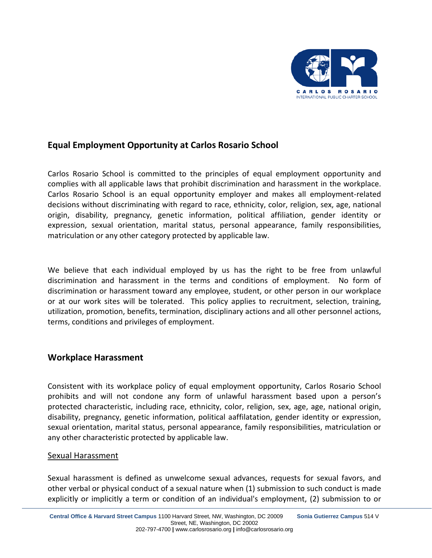

# **Equal Employment Opportunity at Carlos Rosario School**

Carlos Rosario School is committed to the principles of equal employment opportunity and complies with all applicable laws that prohibit discrimination and harassment in the workplace. Carlos Rosario School is an equal opportunity employer and makes all employment-related decisions without discriminating with regard to race, ethnicity, color, religion, sex, age, national origin, disability, pregnancy, genetic information, political affiliation, gender identity or expression, sexual orientation, marital status, personal appearance, family responsibilities, matriculation or any other category protected by applicable law.

We believe that each individual employed by us has the right to be free from unlawful discrimination and harassment in the terms and conditions of employment. No form of discrimination or harassment toward any employee, student, or other person in our workplace or at our work sites will be tolerated. This policy applies to recruitment, selection, training, utilization, promotion, benefits, termination, disciplinary actions and all other personnel actions, terms, conditions and privileges of employment.

## **Workplace Harassment**

Consistent with its workplace policy of equal employment opportunity, Carlos Rosario School prohibits and will not condone any form of unlawful harassment based upon a person's protected characteristic, including race, ethnicity, color, religion, sex, age, age, national origin, disability, pregnancy, genetic information, political aaffilatation, gender identity or expression, sexual orientation, marital status, personal appearance, family responsibilities, matriculation or any other characteristic protected by applicable law.

### Sexual Harassment

Sexual harassment is defined as unwelcome sexual advances, requests for sexual favors, and other verbal or physical conduct of a sexual nature when (1) submission to such conduct is made explicitly or implicitly a term or condition of an individual's employment, (2) submission to or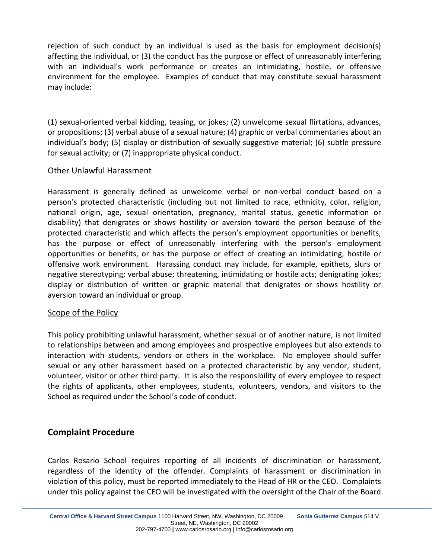rejection of such conduct by an individual is used as the basis for employment decision(s) affecting the individual, or (3) the conduct has the purpose or effect of unreasonably interfering with an individual's work performance or creates an intimidating, hostile, or offensive environment for the employee. Examples of conduct that may constitute sexual harassment may include:

(1) sexual-oriented verbal kidding, teasing, or jokes; (2) unwelcome sexual flirtations, advances, or propositions; (3) verbal abuse of a sexual nature; (4) graphic or verbal commentaries about an individual's body; (5) display or distribution of sexually suggestive material; (6) subtle pressure for sexual activity; or (7) inappropriate physical conduct.

### Other Unlawful Harassment

Harassment is generally defined as unwelcome verbal or non-verbal conduct based on a person's protected characteristic (including but not limited to race, ethnicity, color, religion, national origin, age, sexual orientation, pregnancy, marital status, genetic information or disability) that denigrates or shows hostility or aversion toward the person because of the protected characteristic and which affects the person's employment opportunities or benefits, has the purpose or effect of unreasonably interfering with the person's employment opportunities or benefits, or has the purpose or effect of creating an intimidating, hostile or offensive work environment. Harassing conduct may include, for example, epithets, slurs or negative stereotyping; verbal abuse; threatening, intimidating or hostile acts; denigrating jokes; display or distribution of written or graphic material that denigrates or shows hostility or aversion toward an individual or group.

### Scope of the Policy

This policy prohibiting unlawful harassment, whether sexual or of another nature, is not limited to relationships between and among employees and prospective employees but also extends to interaction with students, vendors or others in the workplace. No employee should suffer sexual or any other harassment based on a protected characteristic by any vendor, student, volunteer, visitor or other third party. It is also the responsibility of every employee to respect the rights of applicants, other employees, students, volunteers, vendors, and visitors to the School as required under the School's code of conduct.

## **Complaint Procedure**

Carlos Rosario School requires reporting of all incidents of discrimination or harassment, regardless of the identity of the offender. Complaints of harassment or discrimination in violation of this policy, must be reported immediately to the Head of HR or the CEO. Complaints under this policy against the CEO will be investigated with the oversight of the Chair of the Board.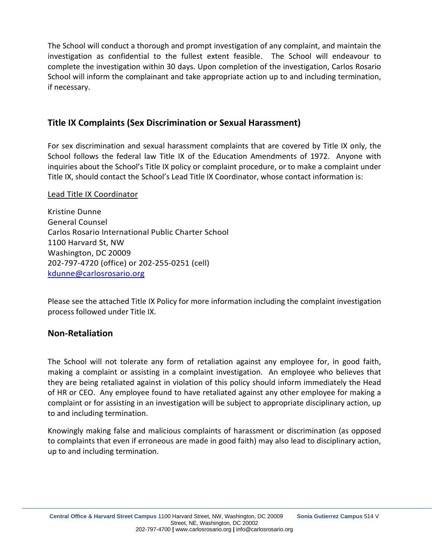The School will conduct a thorough and prompt investigation of any complaint, and maintain the investigation as confidential to the fullest extent feasible. The School will endeavour to complete the investigation within 30 days. Upon completion of the investigation, Carlos Rosario School will inform the complainant and take appropriate action up to and including termination, if necessary.

# **Title IX Complaints (Sex Discrimination or Sexual Harassment)**

For sex discrimination and sexual harassment complaints that are covered by Title IX only, the School follows the federal law Title IX of the Education Amendments of 1972. Anyone with inquiries about the School's Title IX policy or complaint procedure, or to make a complaint under Title IX, should contact the School's Lead Title IX Coordinator, whose contact information is:

#### Lead Title IX Coordinator

Kristine Dunne General Counsel Carlos Rosario International Public Charter School 1100 Harvard St, NW Washington, DC 20009 202-797-4720 (office) or 202-255-0251 (cell) [kdunne@carlosrosario.org](mailto:kdunne@carlosrosario.org) 

Please see the attached Title IX Policy for more information including the complaint investigation process followed under Title IX.

### **Non-Retaliation**

The School will not tolerate any form of retaliation against any employee for, in good faith, making a complaint or assisting in a complaint investigation. An employee who believes that they are being retaliated against in violation of this policy should inform immediately the Head of HR or CEO. Any employee found to have retaliated against any other employee for making a complaint or for assisting in an investigation will be subject to appropriate disciplinary action, up to and including termination.

Knowingly making false and malicious complaints of harassment or discrimination (as opposed to complaints that even if erroneous are made in good faith) may also lead to disciplinary action, up to and including termination.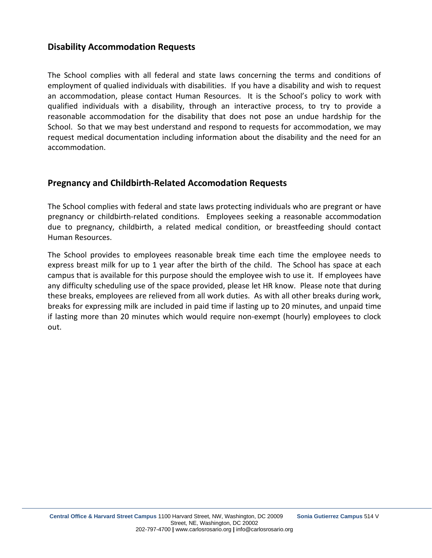## **Disability Accommodation Requests**

The School complies with all federal and state laws concerning the terms and conditions of employment of qualied individuals with disabilities. If you have a disability and wish to request an accommodation, please contact Human Resources. It is the School's policy to work with qualified individuals with a disability, through an interactive process, to try to provide a reasonable accommodation for the disability that does not pose an undue hardship for the School. So that we may best understand and respond to requests for accommodation, we may request medical documentation including information about the disability and the need for an accommodation.

## **Pregnancy and Childbirth-Related Accomodation Requests**

The School complies with federal and state laws protecting individuals who are pregrant or have pregnancy or childbirth-related conditions. Employees seeking a reasonable accommodation due to pregnancy, childbirth, a related medical condition, or breastfeeding should contact Human Resources.

The School provides to employees reasonable break time each time the employee needs to express breast milk for up to 1 year after the birth of the child. The School has space at each campus that is available for this purpose should the employee wish to use it. If employees have any difficulty scheduling use of the space provided, please let HR know. Please note that during these breaks, employees are relieved from all work duties. As with all other breaks during work, breaks for expressing milk are included in paid time if lasting up to 20 minutes, and unpaid time if lasting more than 20 minutes which would require non-exempt (hourly) employees to clock out.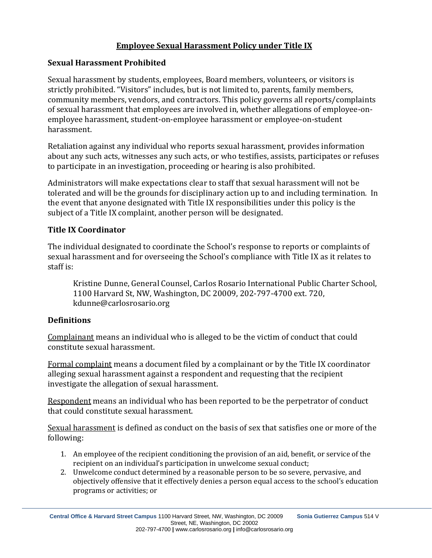# **Employee Sexual Harassment Policy under Title IX**

## **Sexual Harassment Prohibited**

Sexual harassment by students, employees, Board members, volunteers, or visitors is strictly prohibited. "Visitors" includes, but is not limited to, parents, family members, community members, vendors, and contractors. This policy governs all reports/complaints of sexual harassment that employees are involved in, whether allegations of employee-onemployee harassment, student-on-employee harassment or employee-on-student harassment.

Retaliation against any individual who reports sexual harassment, provides information about any such acts, witnesses any such acts, or who testifies, assists, participates or refuses to participate in an investigation, proceeding or hearing is also prohibited.

Administrators will make expectations clear to staff that sexual harassment will not be tolerated and will be the grounds for disciplinary action up to and including termination. In the event that anyone designated with Title IX responsibilities under this policy is the subject of a Title IX complaint, another person will be designated.

## **Title IX Coordinator**

The individual designated to coordinate the School's response to reports or complaints of sexual harassment and for overseeing the School's compliance with Title IX as it relates to staff is:

Kristine Dunne, General Counsel, Carlos Rosario International Public Charter School, 1100 Harvard St, NW, Washington, DC 20009, 202-797-4700 ext. 720, kdunne@carlosrosario.org

## **Definitions**

Complainant means an individual who is alleged to be the victim of conduct that could constitute sexual harassment.

Formal complaint means a document filed by a complainant or by the Title IX coordinator alleging sexual harassment against a respondent and requesting that the recipient investigate the allegation of sexual harassment.

Respondent means an individual who has been reported to be the perpetrator of conduct that could constitute sexual harassment.

Sexual harassment is defined as conduct on the basis of sex that satisfies one or more of the following:

- 1. An employee of the recipient conditioning the provision of an aid, benefit, or service of the recipient on an individual's participation in unwelcome sexual conduct;
- 2. Unwelcome conduct determined by a reasonable person to be so severe, pervasive, and objectively offensive that it effectively denies a person equal access to the school's education programs or activities; or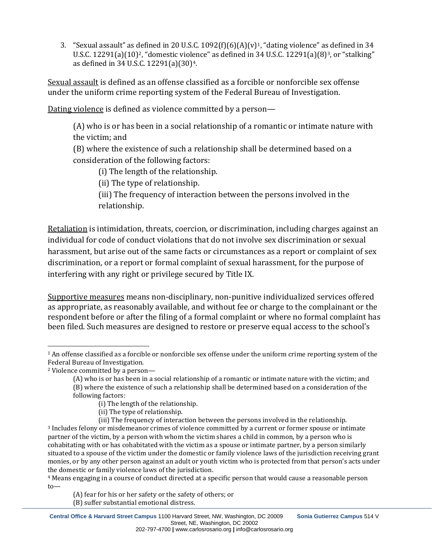3. "Sexual assault" as [de](#page-5-1)fined in 20 U.S.C. [1](#page-5-0)092(f)(6)(A)(v)<sup>1</sup>, "dating violence" a[s](#page-5-2) defined in 34 U.S.C. 12291(a)(10)<sup>2</sup>, "domestic violence" as defined in 34 U.S.C. 12291(a)(8)<sup>3</sup>, or "stalking" as defined in 34 U.S.C. 12291(a)(30)[4](#page-5-3).

Sexual assault is defined as an offense classified as a forcible or nonforcible sex offense under the uniform crime reporting system of the Federal Bureau of Investigation.

Dating violence is defined as violence committed by a person—

(A) who is or has been in a social relationship of a romantic or intimate nature with the victim; and

(B) where the existence of such a relationship shall be determined based on a consideration of the following factors:

(i) The length of the relationship.

(ii) The type of relationship.

(iii) The frequency of interaction between the persons involved in the relationship.

Retaliation is intimidation, threats, coercion, or discrimination, including charges against an individual for code of conduct violations that do not involve sex discrimination or sexual harassment, but arise out of the same facts or circumstances as a report or complaint of sex discrimination, or a report or formal complaint of sexual harassment, for the purpose of interfering with any right or privilege secured by Title IX.

Supportive measures means non-disciplinary, non-punitive individualized services offered as appropriate, as reasonably available, and without fee or charge to the complainant or the respondent before or after the filing of a formal complaint or where no formal complaint has been filed. Such measures are designed to restore or preserve equal access to the school's

(ii) The type of relationship.

(A) fear for his or her safety or the safety of others; or (B) suffer substantial emotional distress.

<span id="page-5-0"></span> $1$  An offense classified as a forcible or nonforcible sex offense under the uniform crime reporting system of the Federal Bureau of Investigation.

<span id="page-5-1"></span><sup>2</sup> Violence committed by a person—

<sup>(</sup>A) who is or has been in a social relationship of a romantic or intimate nature with the victim; and (B) where the existence of such a relationship shall be determined based on a consideration of the following factors:

<sup>(</sup>i) The length of the relationship.

<span id="page-5-2"></span><sup>(</sup>iii) The frequency of interaction between the persons involved in the relationship. <sup>3</sup> Includes felony or misdemeanor crimes of violence committed by a current or former spouse or intimate partner of the victim, by a person with whom the victim shares a child in common, by a person who is cohabitating with or has cohabitated with the victim as a spouse or intimate partner, by a person similarly situated to a spouse of the victim under the domestic or family violence laws of the jurisdiction receiving grant monies, or by any other person against an adult or youth victim who is protected from that person's acts under the domestic or family violence laws of the jurisdiction.

<span id="page-5-3"></span><sup>4</sup> Means engaging in a course of conduct directed at a specific person that would cause a reasonable person to—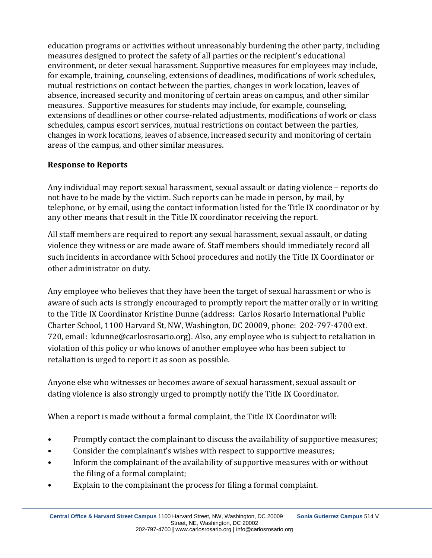education programs or activities without unreasonably burdening the other party, including measures designed to protect the safety of all parties or the recipient's educational environment, or deter sexual harassment. Supportive measures for employees may include, for example, training, counseling, extensions of deadlines, modifications of work schedules, mutual restrictions on contact between the parties, changes in work location, leaves of absence, increased security and monitoring of certain areas on campus, and other similar measures. Supportive measures for students may include, for example, counseling, extensions of deadlines or other course-related adjustments, modifications of work or class schedules, campus escort services, mutual restrictions on contact between the parties, changes in work locations, leaves of absence, increased security and monitoring of certain areas of the campus, and other similar measures.

# **Response to Reports**

Any individual may report sexual harassment, sexual assault or dating violence – reports do not have to be made by the victim. Such reports can be made in person, by mail, by telephone, or by email, using the contact information listed for the Title IX coordinator or by any other means that result in the Title IX coordinator receiving the report.

All staff members are required to report any sexual harassment, sexual assault, or dating violence they witness or are made aware of. Staff members should immediately record all such incidents in accordance with School procedures and notify the Title IX Coordinator or other administrator on duty.

Any employee who believes that they have been the target of sexual harassment or who is aware of such acts is strongly encouraged to promptly report the matter orally or in writing to the Title IX Coordinator Kristine Dunne (address: Carlos Rosario International Public Charter School, 1100 Harvard St, NW, Washington, DC 20009, phone: 202-797-4700 ext. 720, email: kdunne@carlosrosario.org). Also, any employee who is subject to retaliation in violation of this policy or who knows of another employee who has been subject to retaliation is urged to report it as soon as possible.

Anyone else who witnesses or becomes aware of sexual harassment, sexual assault or dating violence is also strongly urged to promptly notify the Title IX Coordinator.

When a report is made without a formal complaint, the Title IX Coordinator will:

- Promptly contact the complainant to discuss the availability of supportive measures;
- Consider the complainant's wishes with respect to supportive measures;
- Inform the complainant of the availability of supportive measures with or without the filing of a formal complaint;
- Explain to the complainant the process for filing a formal complaint.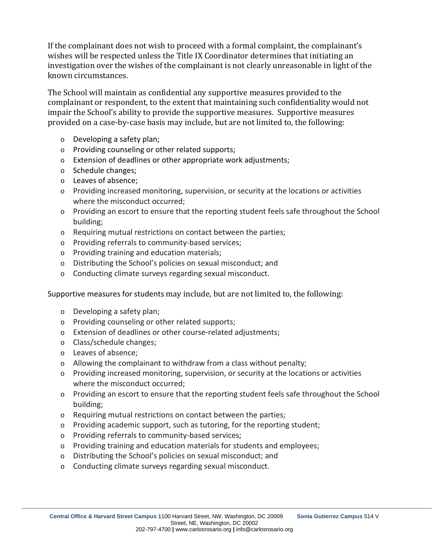If the complainant does not wish to proceed with a formal complaint, the complainant's wishes will be respected unless the Title IX Coordinator determines that initiating an investigation over the wishes of the complainant is not clearly unreasonable in light of the known circumstances.

The School will maintain as confidential any supportive measures provided to the complainant or respondent, to the extent that maintaining such confidentiality would not impair the School's ability to provide the supportive measures. Supportive measures provided on a case-by-case basis may include, but are not limited to, the following:

- o Developing a safety plan;
- o Providing counseling or other related supports;
- o Extension of deadlines or other appropriate work adjustments;
- o Schedule changes;
- o Leaves of absence;
- o Providing increased monitoring, supervision, or security at the locations or activities where the misconduct occurred;
- o Providing an escort to ensure that the reporting student feels safe throughout the School building;
- o Requiring mutual restrictions on contact between the parties;
- o Providing referrals to community-based services;
- o Providing training and education materials;
- o Distributing the School's policies on sexual misconduct; and
- o Conducting climate surveys regarding sexual misconduct.

### Supportive measures for students may include, but are not limited to, the following:

- o Developing a safety plan;
- o Providing counseling or other related supports;
- o Extension of deadlines or other course-related adjustments;
- o Class/schedule changes;
- o Leaves of absence;
- $\circ$  Allowing the complainant to withdraw from a class without penalty;
- o Providing increased monitoring, supervision, or security at the locations or activities where the misconduct occurred;
- o Providing an escort to ensure that the reporting student feels safe throughout the School building;
- o Requiring mutual restrictions on contact between the parties;
- o Providing academic support, such as tutoring, for the reporting student;
- o Providing referrals to community-based services;
- o Providing training and education materials for students and employees;
- o Distributing the School's policies on sexual misconduct; and
- o Conducting climate surveys regarding sexual misconduct.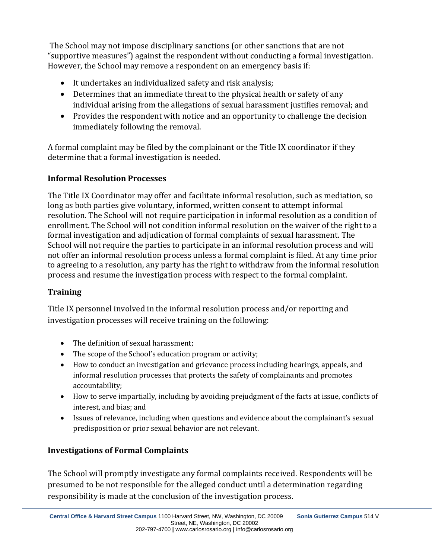The School may not impose disciplinary sanctions (or other sanctions that are not "supportive measures") against the respondent without conducting a formal investigation. However, the School may remove a respondent on an emergency basis if:

- It undertakes an individualized safety and risk analysis;
- Determines that an immediate threat to the physical health or safety of any individual arising from the allegations of sexual harassment justifies removal; and
- Provides the respondent with notice and an opportunity to challenge the decision immediately following the removal.

A formal complaint may be filed by the complainant or the Title IX coordinator if they determine that a formal investigation is needed.

# **Informal Resolution Processes**

The Title IX Coordinator may offer and facilitate informal resolution, such as mediation, so long as both parties give voluntary, informed, written consent to attempt informal resolution. The School will not require participation in informal resolution as a condition of enrollment. The School will not condition informal resolution on the waiver of the right to a formal investigation and adjudication of formal complaints of sexual harassment. The School will not require the parties to participate in an informal resolution process and will not offer an informal resolution process unless a formal complaint is filed. At any time prior to agreeing to a resolution, any party has the right to withdraw from the informal resolution process and resume the investigation process with respect to the formal complaint.

# **Training**

Title IX personnel involved in the informal resolution process and/or reporting and investigation processes will receive training on the following:

- The definition of sexual harassment;
- The scope of the School's education program or activity;
- How to conduct an investigation and grievance process including hearings, appeals, and informal resolution processes that protects the safety of complainants and promotes accountability;
- How to serve impartially, including by avoiding prejudgment of the facts at issue, conflicts of interest, and bias; and
- Issues of relevance, including when questions and evidence about the complainant's sexual predisposition or prior sexual behavior are not relevant.

# **Investigations of Formal Complaints**

The School will promptly investigate any formal complaints received. Respondents will be presumed to be not responsible for the alleged conduct until a determination regarding responsibility is made at the conclusion of the investigation process.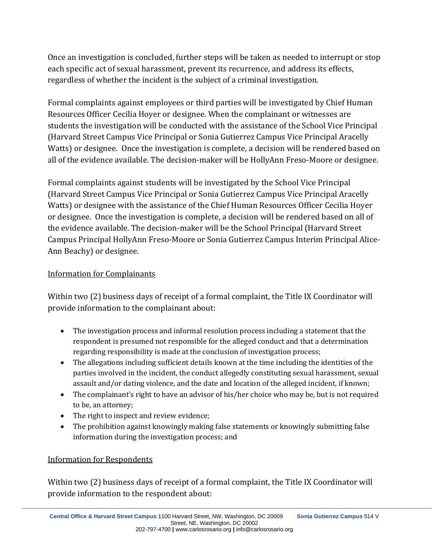Once an investigation is concluded, further steps will be taken as needed to interrupt or stop each specific act of sexual harassment, prevent its recurrence, and address its effects, regardless of whether the incident is the subject of a criminal investigation.

Formal complaints against employees or third parties will be investigated by Chief Human Resources Officer Cecilia Hoyer or designee. When the complainant or witnesses are students the investigation will be conducted with the assistance of the School Vice Principal (Harvard Street Campus Vice Principal or Sonia Gutierrez Campus Vice Principal Aracelly Watts) or designee. Once the investigation is complete, a decision will be rendered based on all of the evidence available. The decision-maker will be HollyAnn Freso-Moore or designee.

Formal complaints against students will be investigated by the School Vice Principal (Harvard Street Campus Vice Principal or Sonia Gutierrez Campus Vice Principal Aracelly Watts) or designee with the assistance of the Chief Human Resources Officer Cecilia Hoyer or designee. Once the investigation is complete, a decision will be rendered based on all of the evidence available. The decision-maker will be the School Principal (Harvard Street Campus Principal HollyAnn Freso-Moore or Sonia Gutierrez Campus Interim Principal Alice-Ann Beachy) or designee.

## Information for Complainants

Within two (2) business days of receipt of a formal complaint, the Title IX Coordinator will provide information to the complainant about:

- The investigation process and informal resolution process including a statement that the respondent is presumed not responsible for the alleged conduct and that a determination regarding responsibility is made at the conclusion of investigation process;
- The allegations including sufficient details known at the time including the identities of the parties involved in the incident, the conduct allegedly constituting sexual harassment, sexual assault and/or dating violence, and the date and location of the alleged incident, if known;
- The complainant's right to have an advisor of his/her choice who may be, but is not required to be, an attorney;
- The right to inspect and review evidence;
- The prohibition against knowingly making false statements or knowingly submitting false information during the investigation process; and

## Information for Respondents

Within two (2) business days of receipt of a formal complaint, the Title IX Coordinator will provide information to the respondent about: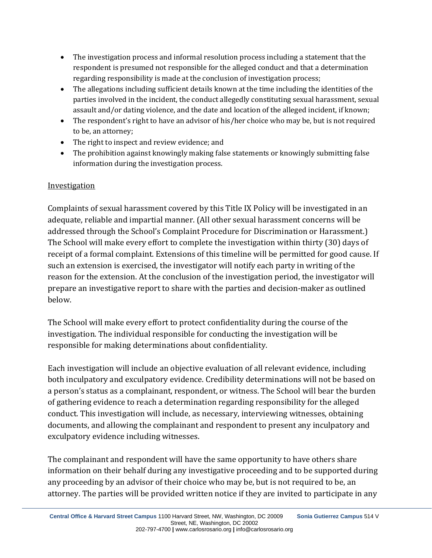- The investigation process and informal resolution process including a statement that the respondent is presumed not responsible for the alleged conduct and that a determination regarding responsibility is made at the conclusion of investigation process;
- The allegations including sufficient details known at the time including the identities of the parties involved in the incident, the conduct allegedly constituting sexual harassment, sexual assault and/or dating violence, and the date and location of the alleged incident, if known;
- The respondent's right to have an advisor of his/her choice who may be, but is not required to be, an attorney;
- The right to inspect and review evidence; and
- The prohibition against knowingly making false statements or knowingly submitting false information during the investigation process.

# **Investigation**

Complaints of sexual harassment covered by this Title IX Policy will be investigated in an adequate, reliable and impartial manner. (All other sexual harassment concerns will be addressed through the School's Complaint Procedure for Discrimination or Harassment.) The School will make every effort to complete the investigation within thirty (30) days of receipt of a formal complaint. Extensions of this timeline will be permitted for good cause. If such an extension is exercised, the investigator will notify each party in writing of the reason for the extension. At the conclusion of the investigation period, the investigator will prepare an investigative report to share with the parties and decision-maker as outlined below.

The School will make every effort to protect confidentiality during the course of the investigation. The individual responsible for conducting the investigation will be responsible for making determinations about confidentiality.

Each investigation will include an objective evaluation of all relevant evidence, including both inculpatory and exculpatory evidence. Credibility determinations will not be based on a person's status as a complainant, respondent, or witness. The School will bear the burden of gathering evidence to reach a determination regarding responsibility for the alleged conduct. This investigation will include, as necessary, interviewing witnesses, obtaining documents, and allowing the complainant and respondent to present any inculpatory and exculpatory evidence including witnesses.

The complainant and respondent will have the same opportunity to have others share information on their behalf during any investigative proceeding and to be supported during any proceeding by an advisor of their choice who may be, but is not required to be, an attorney. The parties will be provided written notice if they are invited to participate in any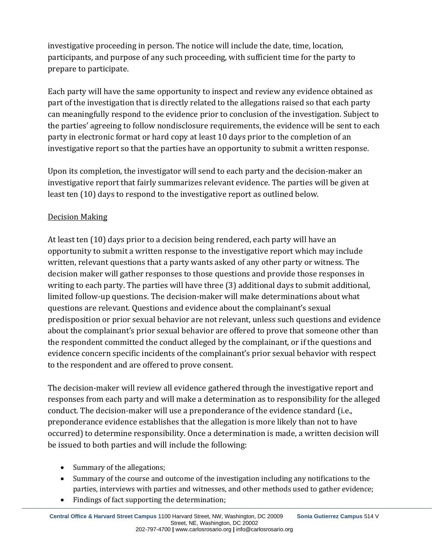investigative proceeding in person. The notice will include the date, time, location, participants, and purpose of any such proceeding, with sufficient time for the party to prepare to participate.

Each party will have the same opportunity to inspect and review any evidence obtained as part of the investigation that is directly related to the allegations raised so that each party can meaningfully respond to the evidence prior to conclusion of the investigation. Subject to the parties' agreeing to follow nondisclosure requirements, the evidence will be sent to each party in electronic format or hard copy at least 10 days prior to the completion of an investigative report so that the parties have an opportunity to submit a written response.

Upon its completion, the investigator will send to each party and the decision-maker an investigative report that fairly summarizes relevant evidence. The parties will be given at least ten (10) days to respond to the investigative report as outlined below.

# Decision Making

At least ten (10) days prior to a decision being rendered, each party will have an opportunity to submit a written response to the investigative report which may include written, relevant questions that a party wants asked of any other party or witness. The decision maker will gather responses to those questions and provide those responses in writing to each party. The parties will have three (3) additional days to submit additional, limited follow-up questions. The decision-maker will make determinations about what questions are relevant. Questions and evidence about the complainant's sexual predisposition or prior sexual behavior are not relevant, unless such questions and evidence about the complainant's prior sexual behavior are offered to prove that someone other than the respondent committed the conduct alleged by the complainant, or if the questions and evidence concern specific incidents of the complainant's prior sexual behavior with respect to the respondent and are offered to prove consent.

The decision-maker will review all evidence gathered through the investigative report and responses from each party and will make a determination as to responsibility for the alleged conduct. The decision-maker will use a preponderance of the evidence standard (i.e., preponderance evidence establishes that the allegation is more likely than not to have occurred) to determine responsibility. Once a determination is made, a written decision will be issued to both parties and will include the following:

- Summary of the allegations;
- Summary of the course and outcome of the investigation including any notifications to the parties, interviews with parties and witnesses, and other methods used to gather evidence;
- Findings of fact supporting the determination;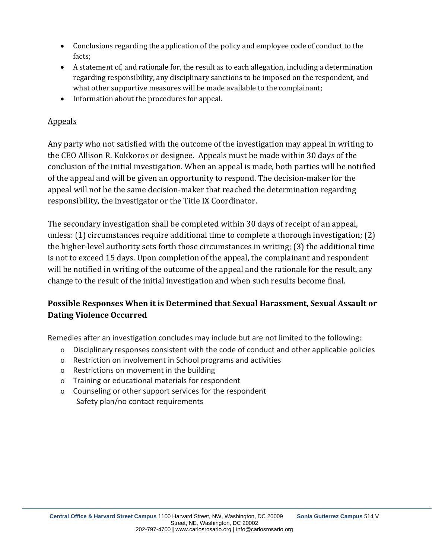- Conclusions regarding the application of the policy and employee code of conduct to the facts;
- A statement of, and rationale for, the result as to each allegation, including a determination regarding responsibility, any disciplinary sanctions to be imposed on the respondent, and what other supportive measures will be made available to the complainant;
- Information about the procedures for appeal.

# Appeals

Any party who not satisfied with the outcome of the investigation may appeal in writing to the CEO Allison R. Kokkoros or designee. Appeals must be made within 30 days of the conclusion of the initial investigation. When an appeal is made, both parties will be notified of the appeal and will be given an opportunity to respond. The decision-maker for the appeal will not be the same decision-maker that reached the determination regarding responsibility, the investigator or the Title IX Coordinator.

The secondary investigation shall be completed within 30 days of receipt of an appeal, unless: (1) circumstances require additional time to complete a thorough investigation; (2) the higher-level authority sets forth those circumstances in writing; (3) the additional time is not to exceed 15 days. Upon completion of the appeal, the complainant and respondent will be notified in writing of the outcome of the appeal and the rationale for the result, any change to the result of the initial investigation and when such results become final.

# **Possible Responses When it is Determined that Sexual Harassment, Sexual Assault or Dating Violence Occurred**

Remedies after an investigation concludes may include but are not limited to the following:

- $\circ$  Disciplinary responses consistent with the code of conduct and other applicable policies
- o Restriction on involvement in School programs and activities
- o Restrictions on movement in the building
- o Training or educational materials for respondent
- o Counseling or other support services for the respondent Safety plan/no contact requirements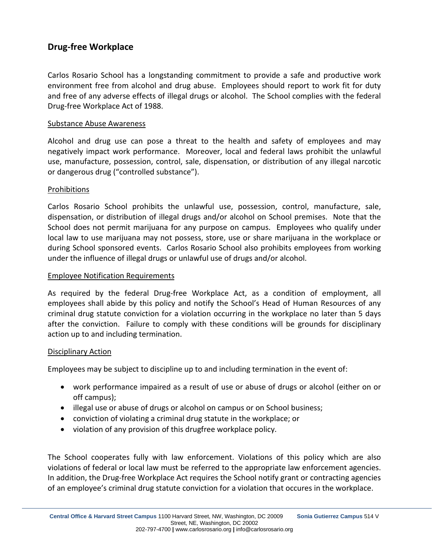# **Drug-free Workplace**

Carlos Rosario School has a longstanding commitment to provide a safe and productive work environment free from alcohol and drug abuse. Employees should report to work fit for duty and free of any adverse effects of illegal drugs or alcohol. The School complies with the federal Drug-free Workplace Act of 1988.

#### Substance Abuse Awareness

Alcohol and drug use can pose a threat to the health and safety of employees and may negatively impact work performance. Moreover, local and federal laws prohibit the unlawful use, manufacture, possession, control, sale, dispensation, or distribution of any illegal narcotic or dangerous drug ("controlled substance").

#### Prohibitions

Carlos Rosario School prohibits the unlawful use, possession, control, manufacture, sale, dispensation, or distribution of illegal drugs and/or alcohol on School premises. Note that the School does not permit marijuana for any purpose on campus. Employees who qualify under local law to use marijuana may not possess, store, use or share marijuana in the workplace or during School sponsored events. Carlos Rosario School also prohibits employees from working under the influence of illegal drugs or unlawful use of drugs and/or alcohol.

#### Employee Notification Requirements

As required by the federal Drug-free Workplace Act, as a condition of employment, all employees shall abide by this policy and notify the School's Head of Human Resources of any criminal drug statute conviction for a violation occurring in the workplace no later than 5 days after the conviction. Failure to comply with these conditions will be grounds for disciplinary action up to and including termination.

#### Disciplinary Action

Employees may be subject to discipline up to and including termination in the event of:

- work performance impaired as a result of use or abuse of drugs or alcohol (either on or off campus);
- illegal use or abuse of drugs or alcohol on campus or on School business;
- conviction of violating a criminal drug statute in the workplace; or
- violation of any provision of this drugfree workplace policy.

The School cooperates fully with law enforcement. Violations of this policy which are also violations of federal or local law must be referred to the appropriate law enforcement agencies. In addition, the Drug-free Workplace Act requires the School notify grant or contracting agencies of an employee's criminal drug statute conviction for a violation that occures in the workplace.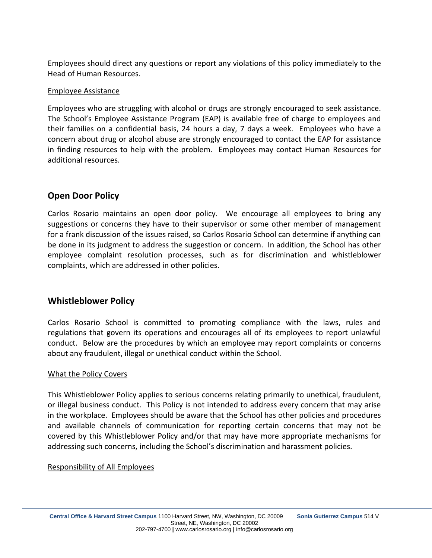Employees should direct any questions or report any violations of this policy immediately to the Head of Human Resources.

#### Employee Assistance

Employees who are struggling with alcohol or drugs are strongly encouraged to seek assistance. The School's Employee Assistance Program (EAP) is available free of charge to employees and their families on a confidential basis, 24 hours a day, 7 days a week. Employees who have a concern about drug or alcohol abuse are strongly encouraged to contact the EAP for assistance in finding resources to help with the problem. Employees may contact Human Resources for additional resources.

## **Open Door Policy**

Carlos Rosario maintains an open door policy. We encourage all employees to bring any suggestions or concerns they have to their supervisor or some other member of management for a frank discussion of the issues raised, so Carlos Rosario School can determine if anything can be done in its judgment to address the suggestion or concern. In addition, the School has other employee complaint resolution processes, such as for discrimination and whistleblower complaints, which are addressed in other policies.

## **Whistleblower Policy**

Carlos Rosario School is committed to promoting compliance with the laws, rules and regulations that govern its operations and encourages all of its employees to report unlawful conduct. Below are the procedures by which an employee may report complaints or concerns about any fraudulent, illegal or unethical conduct within the School.

### What the Policy Covers

This Whistleblower Policy applies to serious concerns relating primarily to unethical, fraudulent, or illegal business conduct. This Policy is not intended to address every concern that may arise in the workplace. Employees should be aware that the School has other policies and procedures and available channels of communication for reporting certain concerns that may not be covered by this Whistleblower Policy and/or that may have more appropriate mechanisms for addressing such concerns, including the School's discrimination and harassment policies.

#### Responsibility of All Employees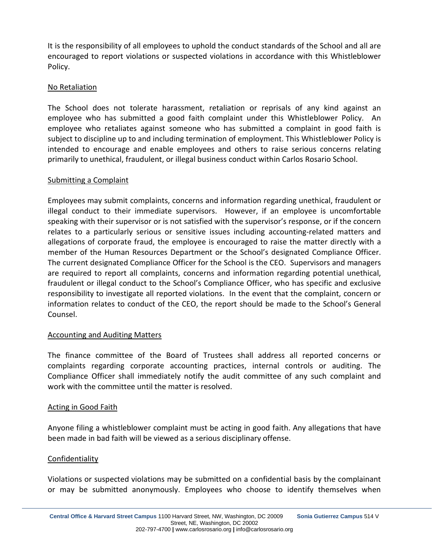It is the responsibility of all employees to uphold the conduct standards of the School and all are encouraged to report violations or suspected violations in accordance with this Whistleblower Policy.

### No Retaliation

The School does not tolerate harassment, retaliation or reprisals of any kind against an employee who has submitted a good faith complaint under this Whistleblower Policy. An employee who retaliates against someone who has submitted a complaint in good faith is subject to discipline up to and including termination of employment. This Whistleblower Policy is intended to encourage and enable employees and others to raise serious concerns relating primarily to unethical, fraudulent, or illegal business conduct within Carlos Rosario School.

### Submitting a Complaint

Employees may submit complaints, concerns and information regarding unethical, fraudulent or illegal conduct to their immediate supervisors. However, if an employee is uncomfortable speaking with their supervisor or is not satisfied with the supervisor's response, or if the concern relates to a particularly serious or sensitive issues including accounting-related matters and allegations of corporate fraud, the employee is encouraged to raise the matter directly with a member of the Human Resources Department or the School's designated Compliance Officer. The current designated Compliance Officer for the School is the CEO. Supervisors and managers are required to report all complaints, concerns and information regarding potential unethical, fraudulent or illegal conduct to the School's Compliance Officer, who has specific and exclusive responsibility to investigate all reported violations. In the event that the complaint, concern or information relates to conduct of the CEO, the report should be made to the School's General Counsel.

## Accounting and Auditing Matters

The finance committee of the Board of Trustees shall address all reported concerns or complaints regarding corporate accounting practices, internal controls or auditing. The Compliance Officer shall immediately notify the audit committee of any such complaint and work with the committee until the matter is resolved.

### Acting in Good Faith

Anyone filing a whistleblower complaint must be acting in good faith. Any allegations that have been made in bad faith will be viewed as a serious disciplinary offense.

## Confidentiality

Violations or suspected violations may be submitted on a confidential basis by the complainant or may be submitted anonymously. Employees who choose to identify themselves when